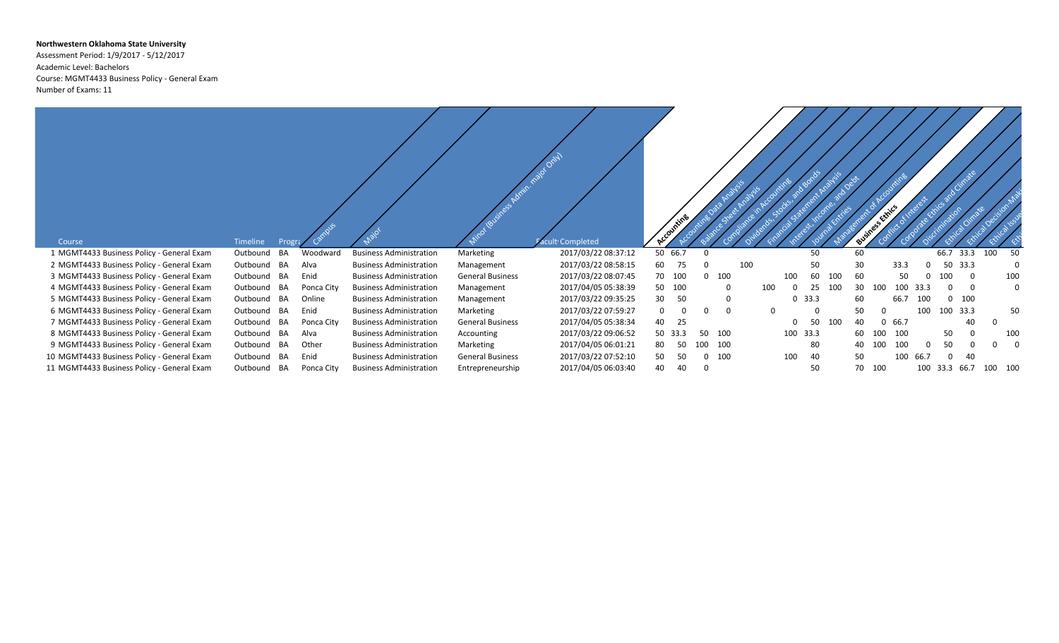## **Northwestern Oklahoma State University**

Assessment Period: 1/9/2017 - 5/12/2017 Academic Level: Bachelors Course: MGMT4433 Business Policy - General Exam Number of Exams: 11

| Course                                     | Timeline<br>Progr     |            |                                |                         | acult Completed     |         |           |                      |     |          |               |     |    | ss Ethics |      |          |              |     |             |
|--------------------------------------------|-----------------------|------------|--------------------------------|-------------------------|---------------------|---------|-----------|----------------------|-----|----------|---------------|-----|----|-----------|------|----------|--------------|-----|-------------|
| 1 MGMT4433 Business Policy - General Exam  | <b>BA</b><br>Outbound | Woodward   | <b>Business Administration</b> | Marketing               | 2017/03/22 08:37:12 | 50 66.7 |           |                      |     |          | 50            |     | 60 |           |      |          | 33.3<br>66.7 | 100 | 50          |
| 2 MGMT4433 Business Policy - General Exam  | Outbound BA           | Alva       | <b>Business Administration</b> | Management              | 2017/03/22 08:58:15 | 60      | 75        |                      | 100 |          | 50            |     | 30 |           | 33.3 |          | 50<br>33.3   |     | $\Omega$    |
| 3 MGMT4433 Business Policy - General Exam  | Outbound<br>BA        | Enid       | <b>Business Administration</b> | <b>General Business</b> | 2017/03/22 08:07:45 | 70      | 100       | $\Omega$<br>100      |     | 100      | 60            | 100 | 60 |           | 50   |          | 100          | 0   | 100         |
| 4 MGMT4433 Business Policy - General Exam  | Outbound BA           | Ponca City | <b>Business Administration</b> | Management              | 2017/04/05 05:38:39 | 50      | 100       | 0                    | 100 | $\Omega$ | 25            | 100 | 30 | 100       | 100  | 33.3     |              | - 0 | $\mathbf 0$ |
| 5 MGMT4433 Business Policy - General Exam  | Outbound BA           | Online     | <b>Business Administration</b> | Management              | 2017/03/22 09:35:25 | 30      | 50        | 0                    |     |          | $0\quad 33.3$ |     | 60 |           | 66.7 | 100      | 100          |     |             |
| 6 MGMT4433 Business Policy - General Exam  | BA<br>Outbound        | Enid       | <b>Business Administration</b> | Marketing               | 2017/03/22 07:59:27 |         | 0         | $\Omega$<br>$\Omega$ |     | $\Omega$ | $\Omega$      |     | 50 |           |      | 100      | 33.3<br>100  |     | 50          |
| 7 MGMT4433 Business Policy - General Exam  | BA<br>Outbound        | Ponca City | <b>Business Administration</b> | <b>General Business</b> | 2017/04/05 05:38:34 | 40      | 25        |                      |     |          | 50            | 100 | 40 |           | 66.7 |          | 40           |     |             |
| 8 MGMT4433 Business Policy - General Exam  | Outbound BA           | Alva       | <b>Business Administration</b> | Accounting              | 2017/03/22 09:06:52 | 50      | 33.3      | 100<br>-50           |     |          | 100 33.3      |     | 60 | 100       | 100  |          | 50           |     | 100         |
| 9 MGMT4433 Business Policy - General Exam  | Outbound BA           | Other      | <b>Business Administration</b> | Marketing               | 2017/04/05 06:01:21 | 80      | 50<br>100 | 100                  |     |          | 80            |     | 40 | 100       | 100  | $\Omega$ | 50           |     | $\Omega$    |
|                                            |                       |            |                                |                         |                     |         |           |                      |     |          |               |     |    |           |      |          |              |     |             |
| 10 MGMT4433 Business Policy - General Exam | Outbound<br>BA        | Enid       | <b>Business Administration</b> | <b>General Business</b> | 2017/03/22 07:52:10 | 50      | 50        | 100<br>0             |     | 100      | 40            |     | 50 |           | 100  | 66.7     | -40          |     |             |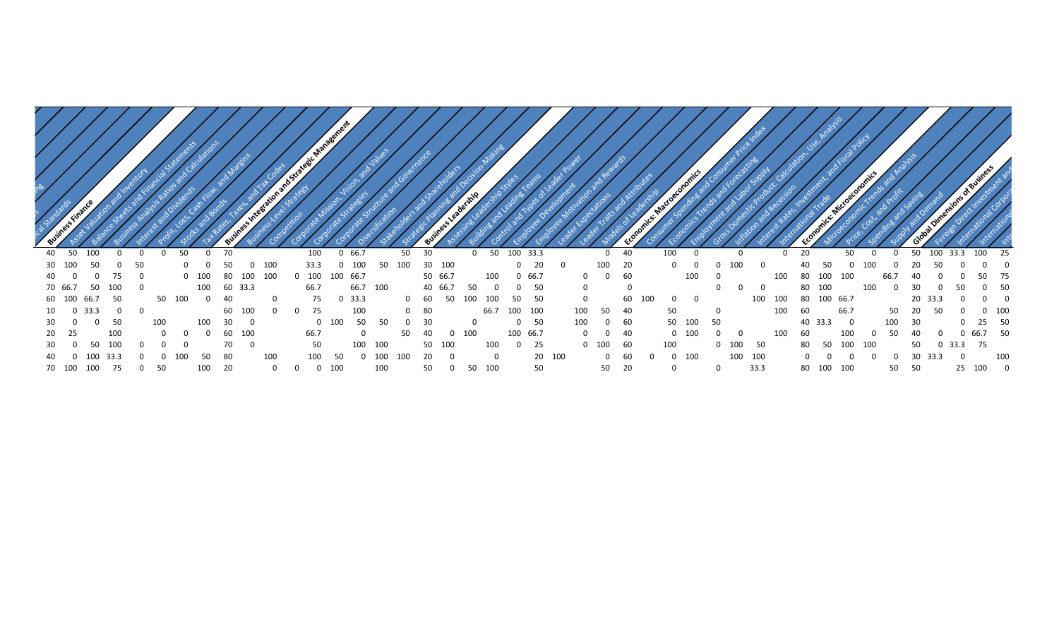| 40 |        |           |             |    |     | -70<br>$\mathbf{0}$ |      |     | 100             | 66.7     |             | 50 |         |     | 50        | 100 33.      |      |     |                | 40   | 100 |           |     |      |           |          |            |    |        |           | 100     |     |
|----|--------|-----------|-------------|----|-----|---------------------|------|-----|-----------------|----------|-------------|----|---------|-----|-----------|--------------|------|-----|----------------|------|-----|-----------|-----|------|-----------|----------|------------|----|--------|-----------|---------|-----|
|    |        |           |             |    |     |                     |      | 100 |                 |          | 100         |    | 30      | 100 |           |              | 20   |     | 100            |      |     |           |     |      |           |          |            |    |        |           |         |     |
| 40 |        |           | 75          |    | 100 |                     | 100  | 100 | 100             | 100 66.7 |             |    | 50 66.7 |     | 100       |              | 66.7 |     | $\overline{0}$ | - 60 |     | 100       |     |      | 100       | ' በበ     |            |    |        |           | -50     | -75 |
|    | 70 66. | 100<br>50 |             |    |     | 100<br>60           | 33.3 |     | 66.7            |          | 66.7<br>100 |    | 40 66.7 |     |           |              |      |     |                |      |     |           |     |      |           |          | 100        |    |        |           |         | 50  |
| 60 |        | 50<br>66. |             | 50 |     |                     |      |     |                 |          | 33.3        |    | -60     |     | 100       | 50           |      |     |                |      |     | - 0       |     | 100  | 100<br>80 | 100 66.7 |            |    | 20 33. |           |         |     |
| 10 |        | 33.3      | $0\qquad 0$ |    |     | 60                  | 100  |     | 75<br>$\Omega$  |          | 100         |    | 80      |     |           | 66.7 100 100 |      | 100 | 50             | -40  | 50  |           |     |      | 100<br>60 |          | 66.7       | 50 |        | 50        | $0$ 100 |     |
| 30 |        | 50        |             |    |     |                     |      |     |                 |          | 50          |    |         |     |           |              | 50   | 100 | 0              | -60  | 50  | 100<br>50 |     |      |           | 40 33.3  |            |    |        |           | 25      | 50  |
| 20 |        | 100       |             |    |     | 60                  | 100  |     | 66.7            |          |             |    |         |     |           | 100 66.      |      |     | - റ            |      |     | 100       |     |      |           |          |            |    |        |           | 66.7    | 50  |
| 30 |        | 100<br>50 |             |    |     | 70                  |      |     | 50              |          | 100<br>100  |    | 50      | 100 | 100       | $\mathbf 0$  | 25   |     | 100            |      | 100 |           | 100 | 50   | 80        | 50       | 100<br>100 |    | 50     | 0 33.3 75 |         |     |
|    |        |           |             |    |     |                     |      | 100 | 10 <sup>c</sup> |          |             |    |         |     |           |              | 20   |     |                |      |     | 100       | 100 | 100  |           |          |            |    |        |           |         | 100 |
|    | 70 100 | 100       | 75          |    |     | 100                 |      |     |                 |          | 100         |    |         |     | 100<br>50 |              | 50   |     | 50             |      |     |           |     | 33.3 | 80        | 100      | 100        | 50 |        | 25        | 100     |     |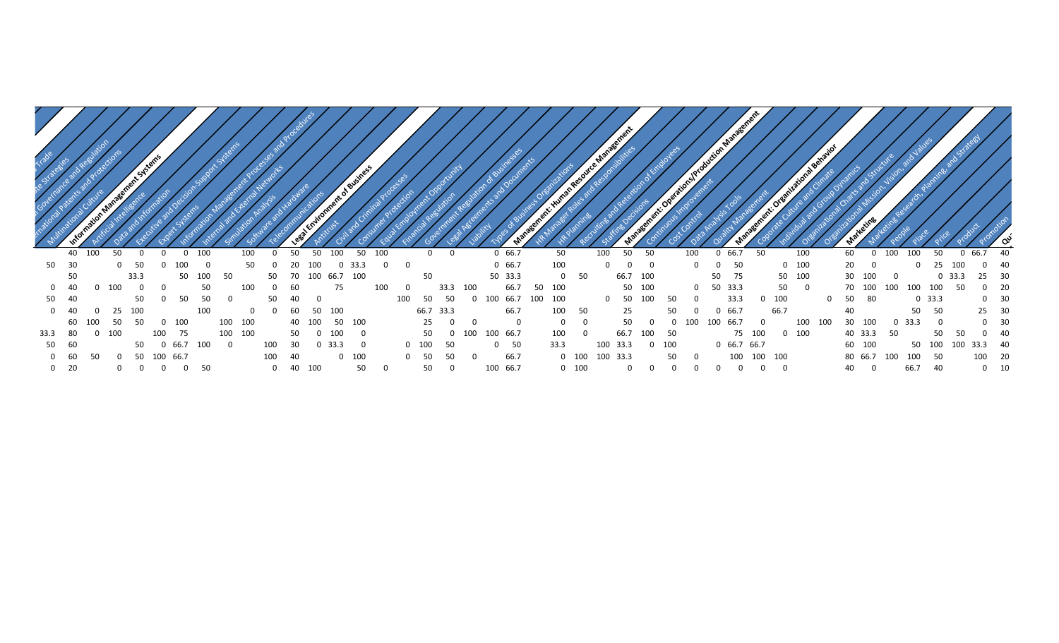|      |          |     |          | ent System |     |      |     |     |          |     |     |             |     | ent of Business |          |     |          |      |      |          |       |          |     | iman Re-    |         | a Management |        |              |     | February Production Management |         |               |          |           | 1 Behavior  |              |            |          |      |         |         |      |          |    |
|------|----------|-----|----------|------------|-----|------|-----|-----|----------|-----|-----|-------------|-----|-----------------|----------|-----|----------|------|------|----------|-------|----------|-----|-------------|---------|--------------|--------|--------------|-----|--------------------------------|---------|---------------|----------|-----------|-------------|--------------|------------|----------|------|---------|---------|------|----------|----|
|      | 40       | 100 | 50       |            |     | 0    | 100 |     |          | 100 |     | 50          | 50  |                 | 50       | 100 |          | 0    | 0    |          |       | 0 66.7   |     | 50          |         | 100          | 50     | 50           |     | 100                            |         | 66.7          | 50       |           | 100         | 60           |            | 100<br>0 | 100  |         | 50      | 66.7 |          | 40 |
| 50   | 30       |     | $\Omega$ | 50         |     |      |     |     |          | 50  |     |             |     | 33.3            |          |     |          |      |      |          |       | 0 66.7   |     | 100         |         |              |        | $\mathbf{0}$ |     | <sup>0</sup>                   |         | 50            |          | 100       |             |              | 20         |          |      |         |         |      |          | 40 |
|      | 50       |     |          | 33.3       |     | 50   | 100 | 50  |          |     | 50. | 70          | 100 | 66.7            | 100      |     |          | 50   |      |          |       | 50 33.3  |     | $\mathbf 0$ | 50      |              | 66.7   | 100          |     |                                | 50      | 75            |          | 50<br>100 |             |              | 30         |          |      |         | 0, 33.3 |      |          |    |
|      | 40       |     | 100      |            |     |      |     | 50  |          | 100 |     | 60          |     | 75              |          | 100 | $\Omega$ |      | 33.3 | 100      |       | 66.7     | 50  | 100         |         |              | 50 100 |              |     | $\mathbf 0$                    | 50 33.3 |               |          | 50        | 0           |              | 70 100     | 100      | 100  | 100     | 50      |      |          | 20 |
| 50   | 40       |     |          | 50         |     | 50   |     | 50  |          |     | 50  | 40          |     |                 |          |     | 100      | 50   | 50   | $\Omega$ | 100   | 66.7     | 100 | 100         |         |              | 50     | 100          | 50  | $\Omega$                       |         | 33.3          | 100<br>0 |           |             | <sup>0</sup> | 50<br>- 80 |          |      | 0, 33.3 |         |      | $\Omega$ | 30 |
|      | 40       |     | 25       | 100        |     |      | 100 |     |          |     |     | 60          | -50 | 100             |          |     |          | 66.7 | 33.3 |          |       | 66.7     |     | 100         | 50      |              | 25     |              |     |                                |         | 66.7          | 66.7     |           |             |              |            |          |      | 50      | 50      |      | 25       | 30 |
|      | 60       |     | 50       | 50         |     | 100  |     | 100 |          | 100 |     | 40          |     | 50              | 100      |     |          | 25   |      | $\Omega$ |       | - 0      |     |             | 0       |              | 50     |              |     |                                | 100     | 66.7          |          |           | 100<br>LOO. | 30           | 100        |          | 33.3 |         | - 0     |      |          | 30 |
| 33.3 | 80       |     | 100      |            |     |      |     | 100 |          | 100 |     | 50          |     |                 | - 0      |     |          | 50   |      | 100      | 100 - | 66.7     |     | 100         |         |              | 66.7   |              | 50  |                                |         | 75 100        |          | 100       |             |              | 40 33.3    |          | -50  |         | 50      |      |          | 40 |
| 50   | 60       |     |          |            |     | 66.7 | 100 |     | $\Omega$ |     | 100 | 30          |     | 33.3            | <u>n</u> |     |          | 100  | 50   |          |       | - 50     |     | 33.3        |         | 100          | 33.3   |              | 100 |                                |         | 0, 66.7, 66.7 |          |           |             |              | 60 100     |          |      | 50      | LOO     | 33.3 |          |    |
|      |          |     | 0        | 50         | 100 |      |     |     |          |     | 100 | 40          |     |                 | 100      |     |          | -50  | 50   |          |       | 66.7     |     |             | $0$ 100 | 100 33.3     |        |              | 50  | $\Omega$                       |         | 100           | 100 100  |           |             |              | 80 66.7    | 100      | 100  |         | 50      |      | 100      | 20 |
|      | 60<br>20 | 50  |          |            |     | 66.7 |     | 50  |          |     |     | $0\quad 40$ | 100 |                 | 50       |     |          | 50   |      |          |       | 100 66.7 |     |             | $0$ 100 |              |        |              |     |                                |         |               |          |           |             | 40           |            |          | 66.7 |         | 40      |      | 0        | 10 |